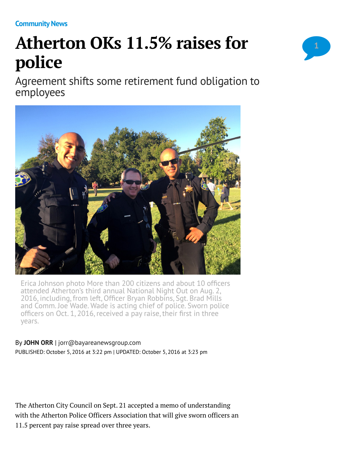**[Community News](http://www.mercurynews.com/community-news/)**

## **Atherton OKs 11.5% raises for police**

Agreement shifts some retirement fund obligation to employees



Erica Johnson photo More than 200 citizens and about 10 officers attended Atherton's third annual National Night Out on Aug. 2, 2016, including, from left, Officer Bryan Robbins, Sgt. Brad Mills and Comm. Joe Wade. Wade is acting chief of police. Sworn police officers on Oct. 1, 2016, received a pay raise, their first in three years.

## By **[JOHN ORR](http://www.mercurynews.com/author/john-orr/)** | [jorr@bayareanewsgroup.com](mailto:jorr@bayareanewsgroup.com)

PUBLISHED: October 5, 2016 at 3:22 pm | UPDATED: October 5, 2016 at 3:23 pm

The Atherton City Council on Sept. 21 accepted a memo of understanding with the Atherton Police Officers Association that will give sworn officers an 11.5 percent pay raise spread over three years.

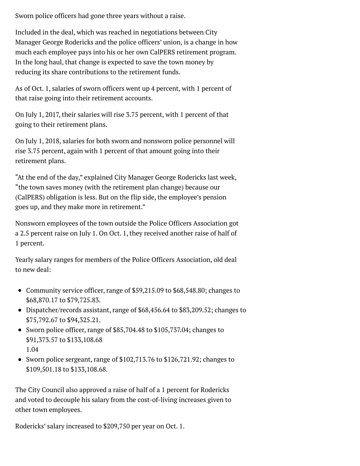Sworn police officers had gone three years without a raise.

Included in the deal, which was reached in negotiations between City Manager George Rodericks and the police officers' union, is a change in how much each employee pays into his or her own CalPERS retirement program. In the long haul, that change is expected to save the town money by reducing its share contributions to the retirement funds.

As of Oct. 1, salaries of sworn officers went up 4 percent, with 1 percent of that raise going into their retirement accounts.

On July 1, 2017, their salaries will rise 3.75 percent, with 1 percent of that going to their retirement plans.

On July 1, 2018, salaries for both sworn and nonsworn police personnel will rise 3.75 percent, again with 1 percent of that amount going into their retirement plans.

"At the end of the day," explained City Manager George Rodericks last week, "the town saves money (with the retirement plan change) because our (CalPERS) obligation is less. But on the flip side, the employee's pension goes up, and they make more in retirement."

Nonsworn employees of the town outside the Police Officers Association got a 2.5 percent raise on July 1. On Oct. 1, they received another raise of half of 1 percent.

Yearly salary ranges for members of the Police Officers Association, old deal to new deal:

- Community service officer, range of \$59,215.09 to \$68,548.80; changes to \$68,870.17 to \$79,725.83.
- Dispatcher/records assistant, range of \$68,456.64 to \$83,209.52; changes to \$75,792.67 to \$94,325.21.
- Sworn police officer, range of \$85,704.48 to \$105,737.04; changes to \$91,373.57 to \$133,108.68 1.04
- Sworn police sergeant, range of \$102,713.76 to \$126,721.92; changes to \$109,501.18 to \$133,108.68.

The City Council also approved a raise of half of a 1 percent for Rodericks and voted to decouple his salary from the cost-of-living increases given to other town employees.

Rodericks' salary increased to \$209,750 per year on Oct. 1.